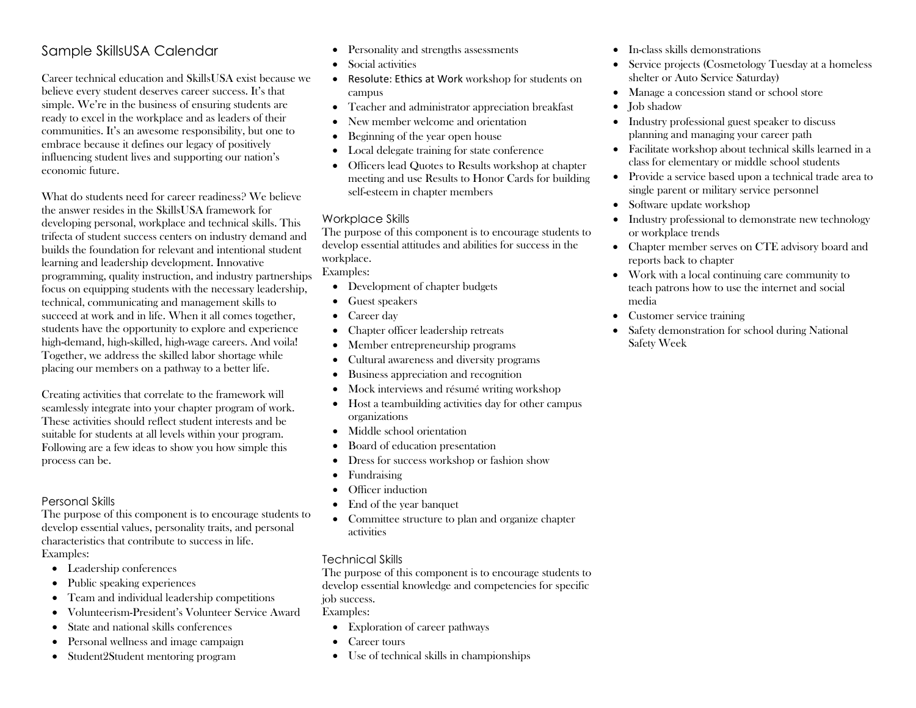## Sample SkillsUSA Calendar

Career technical education and SkillsUSA exist because we believe every student deserves career success. It's that simple. We're in the business of ensuring students are ready to excel in the workplace and as leaders of their communities. It's an awesome responsibility, but one to embrace because it defines our legacy of positively influencing student lives and supporting our nation's economic future.

What do students need for career readiness? We believe the answer resides in the SkillsUSA framework for developing personal, workplace and technical skills. This trifecta of student success centers on industry demand and builds the foundation for relevant and intentional student learning and leadership development. Innovative programming, quality instruction, and industry partnerships focus on equipping students with the necessary leadership, technical, communicating and management skills to succeed at work and in life. When it all comes together, students have the opportunity to explore and experience high-demand, high-skilled, high-wage careers. And voila! Together, we address the skilled labor shortage while placing our members on a pathway to a better life.

Creating activities that correlate to the framework will seamlessly integrate into your chapter program of work. These activities should reflect student interests and be suitable for students at all levels within your program. Following are a few ideas to show you how simple this process can be.

## Personal Skills

The purpose of this component is to encourage students to develop essential values, personality traits, and personal characteristics that contribute to success in life. Examples:

- Leadership conferences
- Public speaking experiences
- Team and individual leadership competitions
- Volunteerism-President's Volunteer Service Award
- State and national skills conferences
- Personal wellness and image campaign
- Student2Student mentoring program
- Personality and strengths assessments
- Social activities
- Resolute: Ethics at Work workshop for students on campus
- Teacher and administrator appreciation breakfast
- New member welcome and orientation
- Beginning of the year open house
- Local delegate training for state conference
- Officers lead Quotes to Results workshop at chapter meeting and use Results to Honor Cards for building self-esteem in chapter members

## Workplace Skills

The purpose of this component is to encourage students to develop essential attitudes and abilities for success in the workplace.

Examples:

- Development of chapter budgets
- Guest speakers
- Career day
- Chapter officer leadership retreats
- Member entrepreneurship programs
- Cultural awareness and diversity programs
- Business appreciation and recognition
- Mock interviews and résumé writing workshop
- Host a teambuilding activities day for other campus organizations
- Middle school orientation
- Board of education presentation
- Dress for success workshop or fashion show
- Fundraising
- Officer induction
- End of the year banquet
- Committee structure to plan and organize chapter activities

## Technical Skills

The purpose of this component is to encourage students to develop essential knowledge and competencies for specific job success.

Examples:

- Exploration of career pathways
- Career tours
- Use of technical skills in championships
- In-class skills demonstrations
- Service projects (Cosmetology Tuesday at a homeless shelter or Auto Service Saturday)
- Manage a concession stand or school store
- **Job** shadow
- Industry professional guest speaker to discuss planning and managing your career path
- Facilitate workshop about technical skills learned in a class for elementary or middle school students
- Provide a service based upon a technical trade area to single parent or military service personnel
- Software update workshop
- Industry professional to demonstrate new technology or workplace trends
- Chapter member serves on CTE advisory board and reports back to chapter
- Work with a local continuing care community to teach patrons how to use the internet and social media
- Customer service training
- Safety demonstration for school during National Safety Week